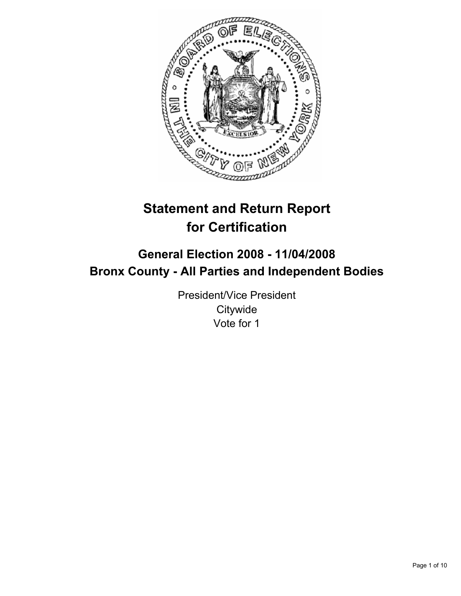

# **Statement and Return Report for Certification**

## **General Election 2008 - 11/04/2008 Bronx County - All Parties and Independent Bodies**

President/Vice President **Citywide** Vote for 1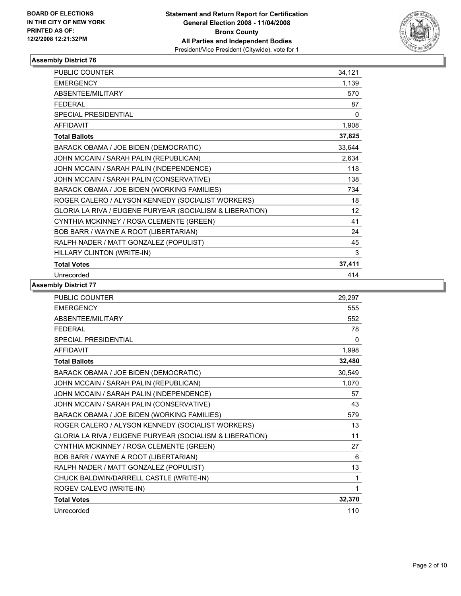

| <b>PUBLIC COUNTER</b>                                    | 34,121 |
|----------------------------------------------------------|--------|
| <b>EMERGENCY</b>                                         | 1,139  |
| ABSENTEE/MILITARY                                        | 570    |
| <b>FEDERAL</b>                                           | 87     |
| <b>SPECIAL PRESIDENTIAL</b>                              | 0      |
| <b>AFFIDAVIT</b>                                         | 1,908  |
| <b>Total Ballots</b>                                     | 37,825 |
| BARACK OBAMA / JOE BIDEN (DEMOCRATIC)                    | 33,644 |
| JOHN MCCAIN / SARAH PALIN (REPUBLICAN)                   | 2,634  |
| JOHN MCCAIN / SARAH PALIN (INDEPENDENCE)                 | 118    |
| JOHN MCCAIN / SARAH PALIN (CONSERVATIVE)                 | 138    |
| BARACK OBAMA / JOE BIDEN (WORKING FAMILIES)              | 734    |
| ROGER CALERO / ALYSON KENNEDY (SOCIALIST WORKERS)        | 18     |
| GLORIA LA RIVA / EUGENE PURYEAR (SOCIALISM & LIBERATION) | 12     |
| CYNTHIA MCKINNEY / ROSA CLEMENTE (GREEN)                 | 41     |
| BOB BARR / WAYNE A ROOT (LIBERTARIAN)                    | 24     |
| RALPH NADER / MATT GONZALEZ (POPULIST)                   | 45     |
| HILLARY CLINTON (WRITE-IN)                               | 3      |
| <b>Total Votes</b>                                       | 37,411 |
| Unrecorded                                               | 414    |

| <b>PUBLIC COUNTER</b>                                    | 29,297 |
|----------------------------------------------------------|--------|
| <b>EMERGENCY</b>                                         | 555    |
| ABSENTEE/MILITARY                                        | 552    |
| <b>FEDERAL</b>                                           | 78     |
| <b>SPECIAL PRESIDENTIAL</b>                              | 0      |
| <b>AFFIDAVIT</b>                                         | 1,998  |
| <b>Total Ballots</b>                                     | 32,480 |
| BARACK OBAMA / JOE BIDEN (DEMOCRATIC)                    | 30,549 |
| JOHN MCCAIN / SARAH PALIN (REPUBLICAN)                   | 1,070  |
| JOHN MCCAIN / SARAH PALIN (INDEPENDENCE)                 | 57     |
| JOHN MCCAIN / SARAH PALIN (CONSERVATIVE)                 | 43     |
| BARACK OBAMA / JOE BIDEN (WORKING FAMILIES)              | 579    |
| ROGER CALERO / ALYSON KENNEDY (SOCIALIST WORKERS)        | 13     |
| GLORIA LA RIVA / EUGENE PURYEAR (SOCIALISM & LIBERATION) | 11     |
| CYNTHIA MCKINNEY / ROSA CLEMENTE (GREEN)                 | 27     |
| BOB BARR / WAYNE A ROOT (LIBERTARIAN)                    | 6      |
| RALPH NADER / MATT GONZALEZ (POPULIST)                   | 13     |
| CHUCK BALDWIN/DARRELL CASTLE (WRITE-IN)                  | 1      |
| ROGEV CALEVO (WRITE-IN)                                  | 1      |
| <b>Total Votes</b>                                       | 32,370 |
| Unrecorded                                               | 110    |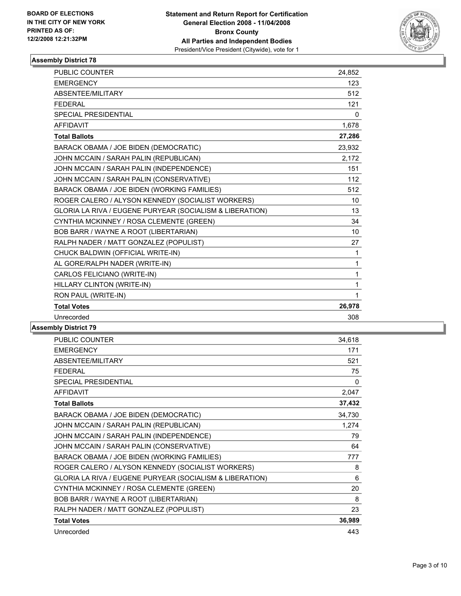

| <b>PUBLIC COUNTER</b><br>24,852                                |  |
|----------------------------------------------------------------|--|
| <b>EMERGENCY</b><br>123                                        |  |
| ABSENTEE/MILITARY<br>512                                       |  |
| <b>FEDERAL</b><br>121                                          |  |
| <b>SPECIAL PRESIDENTIAL</b><br>$\mathbf 0$                     |  |
| <b>AFFIDAVIT</b><br>1,678                                      |  |
| 27,286<br><b>Total Ballots</b>                                 |  |
| 23,932<br>BARACK OBAMA / JOE BIDEN (DEMOCRATIC)                |  |
| JOHN MCCAIN / SARAH PALIN (REPUBLICAN)<br>2,172                |  |
| JOHN MCCAIN / SARAH PALIN (INDEPENDENCE)<br>151                |  |
| JOHN MCCAIN / SARAH PALIN (CONSERVATIVE)<br>112                |  |
| BARACK OBAMA / JOE BIDEN (WORKING FAMILIES)<br>512             |  |
| ROGER CALERO / ALYSON KENNEDY (SOCIALIST WORKERS)<br>10        |  |
| GLORIA LA RIVA / EUGENE PURYEAR (SOCIALISM & LIBERATION)<br>13 |  |
| CYNTHIA MCKINNEY / ROSA CLEMENTE (GREEN)<br>34                 |  |
| BOB BARR / WAYNE A ROOT (LIBERTARIAN)<br>10                    |  |
| RALPH NADER / MATT GONZALEZ (POPULIST)<br>27                   |  |
| CHUCK BALDWIN (OFFICIAL WRITE-IN)<br>1                         |  |
| AL GORE/RALPH NADER (WRITE-IN)<br>1                            |  |
| CARLOS FELICIANO (WRITE-IN)<br>1                               |  |
| HILLARY CLINTON (WRITE-IN)<br>1                                |  |
| RON PAUL (WRITE-IN)<br>1                                       |  |
| 26,978<br><b>Total Votes</b>                                   |  |
| Unrecorded<br>308                                              |  |

| 34,618 |
|--------|
| 171    |
| 521    |
| 75     |
| 0      |
| 2,047  |
| 37,432 |
| 34,730 |
| 1,274  |
| 79     |
| 64     |
| 777    |
| 8      |
| 6      |
| 20     |
| 8      |
| 23     |
| 36,989 |
| 443    |
|        |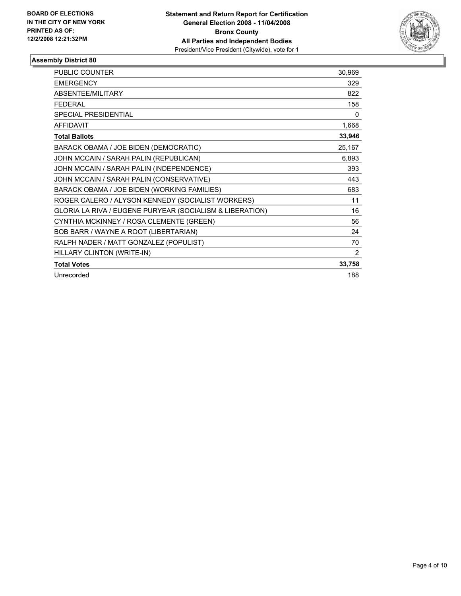

| <b>PUBLIC COUNTER</b>                                    | 30,969         |
|----------------------------------------------------------|----------------|
| <b>EMERGENCY</b>                                         | 329            |
| ABSENTEE/MILITARY                                        | 822            |
| <b>FEDERAL</b>                                           | 158            |
| SPECIAL PRESIDENTIAL                                     | 0              |
| <b>AFFIDAVIT</b>                                         | 1,668          |
| <b>Total Ballots</b>                                     | 33,946         |
| BARACK OBAMA / JOE BIDEN (DEMOCRATIC)                    | 25,167         |
| JOHN MCCAIN / SARAH PALIN (REPUBLICAN)                   | 6,893          |
| JOHN MCCAIN / SARAH PALIN (INDEPENDENCE)                 | 393            |
| JOHN MCCAIN / SARAH PALIN (CONSERVATIVE)                 | 443            |
| BARACK OBAMA / JOE BIDEN (WORKING FAMILIES)              | 683            |
| ROGER CALERO / ALYSON KENNEDY (SOCIALIST WORKERS)        | 11             |
| GLORIA LA RIVA / EUGENE PURYEAR (SOCIALISM & LIBERATION) | 16             |
| CYNTHIA MCKINNEY / ROSA CLEMENTE (GREEN)                 | 56             |
| BOB BARR / WAYNE A ROOT (LIBERTARIAN)                    | 24             |
| RALPH NADER / MATT GONZALEZ (POPULIST)                   | 70             |
| HILLARY CLINTON (WRITE-IN)                               | $\overline{2}$ |
| <b>Total Votes</b>                                       | 33,758         |
| Unrecorded                                               | 188            |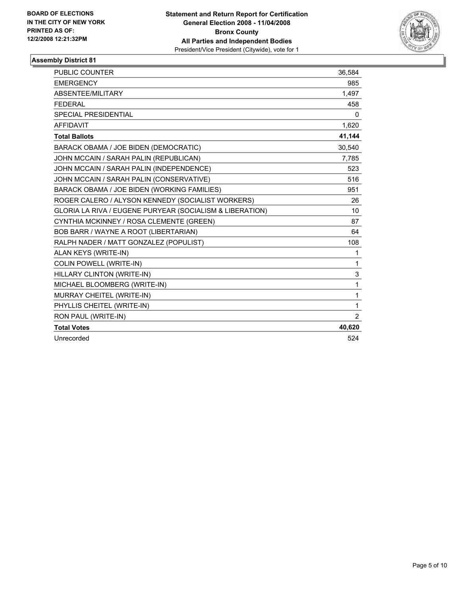

| <b>PUBLIC COUNTER</b>                                    | 36,584         |
|----------------------------------------------------------|----------------|
| <b>EMERGENCY</b>                                         | 985            |
| ABSENTEE/MILITARY                                        | 1,497          |
| <b>FEDERAL</b>                                           | 458            |
| <b>SPECIAL PRESIDENTIAL</b>                              | $\mathbf{0}$   |
| <b>AFFIDAVIT</b>                                         | 1,620          |
| <b>Total Ballots</b>                                     | 41,144         |
| BARACK OBAMA / JOE BIDEN (DEMOCRATIC)                    | 30.540         |
| JOHN MCCAIN / SARAH PALIN (REPUBLICAN)                   | 7,785          |
| JOHN MCCAIN / SARAH PALIN (INDEPENDENCE)                 | 523            |
| JOHN MCCAIN / SARAH PALIN (CONSERVATIVE)                 | 516            |
| BARACK OBAMA / JOE BIDEN (WORKING FAMILIES)              | 951            |
| ROGER CALERO / ALYSON KENNEDY (SOCIALIST WORKERS)        | 26             |
| GLORIA LA RIVA / EUGENE PURYEAR (SOCIALISM & LIBERATION) | 10             |
| CYNTHIA MCKINNEY / ROSA CLEMENTE (GREEN)                 | 87             |
| BOB BARR / WAYNE A ROOT (LIBERTARIAN)                    | 64             |
| RALPH NADER / MATT GONZALEZ (POPULIST)                   | 108            |
| ALAN KEYS (WRITE-IN)                                     | 1              |
| <b>COLIN POWELL (WRITE-IN)</b>                           | 1              |
| HILLARY CLINTON (WRITE-IN)                               | 3              |
| MICHAEL BLOOMBERG (WRITE-IN)                             | 1              |
| MURRAY CHEITEL (WRITE-IN)                                | 1              |
| PHYLLIS CHEITEL (WRITE-IN)                               | 1              |
| RON PAUL (WRITE-IN)                                      | $\overline{2}$ |
| <b>Total Votes</b>                                       | 40,620         |
| Unrecorded                                               | 524            |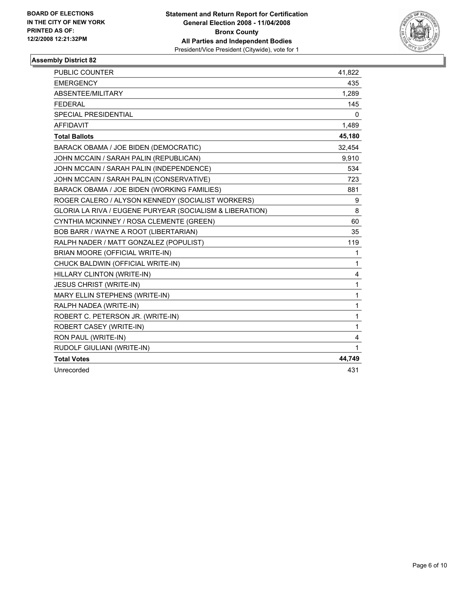

| PUBLIC COUNTER                                           | 41,822 |
|----------------------------------------------------------|--------|
| <b>EMERGENCY</b>                                         | 435    |
| ABSENTEE/MILITARY                                        | 1,289  |
| <b>FEDERAL</b>                                           | 145    |
| <b>SPECIAL PRESIDENTIAL</b>                              | 0      |
| <b>AFFIDAVIT</b>                                         | 1,489  |
| <b>Total Ballots</b>                                     | 45,180 |
| BARACK OBAMA / JOE BIDEN (DEMOCRATIC)                    | 32,454 |
| JOHN MCCAIN / SARAH PALIN (REPUBLICAN)                   | 9,910  |
| JOHN MCCAIN / SARAH PALIN (INDEPENDENCE)                 | 534    |
| JOHN MCCAIN / SARAH PALIN (CONSERVATIVE)                 | 723    |
| BARACK OBAMA / JOE BIDEN (WORKING FAMILIES)              | 881    |
| ROGER CALERO / ALYSON KENNEDY (SOCIALIST WORKERS)        | 9      |
| GLORIA LA RIVA / EUGENE PURYEAR (SOCIALISM & LIBERATION) | 8      |
| CYNTHIA MCKINNEY / ROSA CLEMENTE (GREEN)                 | 60     |
| BOB BARR / WAYNE A ROOT (LIBERTARIAN)                    | 35     |
| RALPH NADER / MATT GONZALEZ (POPULIST)                   | 119    |
| BRIAN MOORE (OFFICIAL WRITE-IN)                          | 1      |
| CHUCK BALDWIN (OFFICIAL WRITE-IN)                        | 1      |
| HILLARY CLINTON (WRITE-IN)                               | 4      |
| <b>JESUS CHRIST (WRITE-IN)</b>                           | 1      |
| MARY ELLIN STEPHENS (WRITE-IN)                           | 1      |
| RALPH NADEA (WRITE-IN)                                   | 1      |
| ROBERT C. PETERSON JR. (WRITE-IN)                        | 1      |
| ROBERT CASEY (WRITE-IN)                                  | 1      |
| RON PAUL (WRITE-IN)                                      | 4      |
| RUDOLF GIULIANI (WRITE-IN)                               | 1      |
| <b>Total Votes</b>                                       | 44,749 |
| Unrecorded                                               | 431    |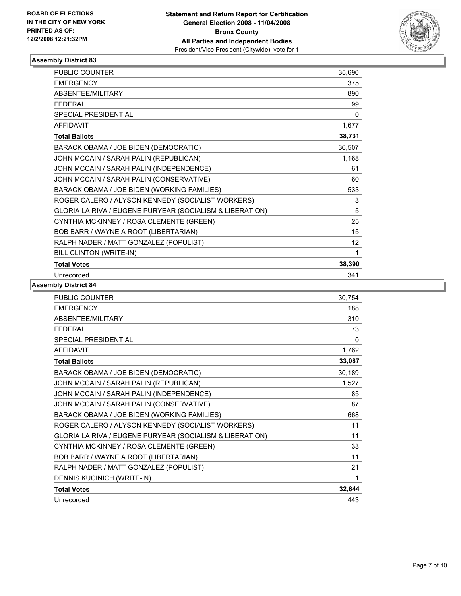

| <b>PUBLIC COUNTER</b>                                    | 35,690 |
|----------------------------------------------------------|--------|
| <b>EMERGENCY</b>                                         | 375    |
| ABSENTEE/MILITARY                                        | 890    |
| <b>FEDERAL</b>                                           | 99     |
| <b>SPECIAL PRESIDENTIAL</b>                              | 0      |
| <b>AFFIDAVIT</b>                                         | 1,677  |
| <b>Total Ballots</b>                                     | 38,731 |
| BARACK OBAMA / JOE BIDEN (DEMOCRATIC)                    | 36,507 |
| JOHN MCCAIN / SARAH PALIN (REPUBLICAN)                   | 1,168  |
| JOHN MCCAIN / SARAH PALIN (INDEPENDENCE)                 | 61     |
| JOHN MCCAIN / SARAH PALIN (CONSERVATIVE)                 | 60     |
| BARACK OBAMA / JOE BIDEN (WORKING FAMILIES)              | 533    |
| ROGER CALERO / ALYSON KENNEDY (SOCIALIST WORKERS)        | 3      |
| GLORIA LA RIVA / EUGENE PURYEAR (SOCIALISM & LIBERATION) | 5      |
| CYNTHIA MCKINNEY / ROSA CLEMENTE (GREEN)                 | 25     |
| BOB BARR / WAYNE A ROOT (LIBERTARIAN)                    | 15     |
| RALPH NADER / MATT GONZALEZ (POPULIST)                   | 12     |
| BILL CLINTON (WRITE-IN)                                  |        |
| <b>Total Votes</b>                                       | 38,390 |
| Unrecorded                                               | 341    |

| <b>PUBLIC COUNTER</b>                                    | 30,754 |
|----------------------------------------------------------|--------|
| <b>EMERGENCY</b>                                         | 188    |
| <b>ABSENTEE/MILITARY</b>                                 | 310    |
| <b>FEDERAL</b>                                           | 73     |
| SPECIAL PRESIDENTIAL                                     | 0      |
| <b>AFFIDAVIT</b>                                         | 1,762  |
| <b>Total Ballots</b>                                     | 33,087 |
| BARACK OBAMA / JOE BIDEN (DEMOCRATIC)                    | 30,189 |
| JOHN MCCAIN / SARAH PALIN (REPUBLICAN)                   | 1,527  |
| JOHN MCCAIN / SARAH PALIN (INDEPENDENCE)                 | 85     |
| JOHN MCCAIN / SARAH PALIN (CONSERVATIVE)                 | 87     |
| BARACK OBAMA / JOE BIDEN (WORKING FAMILIES)              | 668    |
| ROGER CALERO / ALYSON KENNEDY (SOCIALIST WORKERS)        | 11     |
| GLORIA LA RIVA / EUGENE PURYEAR (SOCIALISM & LIBERATION) | 11     |
| CYNTHIA MCKINNEY / ROSA CLEMENTE (GREEN)                 | 33     |
| BOB BARR / WAYNE A ROOT (LIBERTARIAN)                    | 11     |
| RALPH NADER / MATT GONZALEZ (POPULIST)                   | 21     |
| DENNIS KUCINICH (WRITE-IN)                               |        |
| <b>Total Votes</b>                                       | 32,644 |
| Unrecorded                                               | 443    |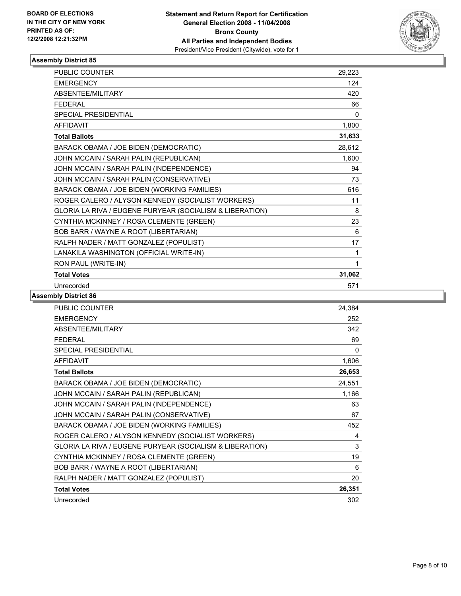

| <b>PUBLIC COUNTER</b>                                    | 29,223 |  |
|----------------------------------------------------------|--------|--|
| <b>EMERGENCY</b>                                         | 124    |  |
| ABSENTEE/MILITARY                                        | 420    |  |
| <b>FFDFRAL</b>                                           | 66     |  |
| <b>SPECIAL PRESIDENTIAL</b>                              | 0      |  |
| <b>AFFIDAVIT</b>                                         | 1,800  |  |
| <b>Total Ballots</b>                                     | 31,633 |  |
| BARACK OBAMA / JOE BIDEN (DEMOCRATIC)                    | 28,612 |  |
| JOHN MCCAIN / SARAH PALIN (REPUBLICAN)                   | 1,600  |  |
| JOHN MCCAIN / SARAH PALIN (INDEPENDENCE)                 | 94     |  |
| JOHN MCCAIN / SARAH PALIN (CONSERVATIVE)                 | 73     |  |
| BARACK OBAMA / JOE BIDEN (WORKING FAMILIES)              | 616    |  |
| ROGER CALERO / ALYSON KENNEDY (SOCIALIST WORKERS)        | 11     |  |
| GLORIA LA RIVA / EUGENE PURYEAR (SOCIALISM & LIBERATION) | 8      |  |
| CYNTHIA MCKINNEY / ROSA CLEMENTE (GREEN)                 | 23     |  |
| BOB BARR / WAYNE A ROOT (LIBERTARIAN)                    | 6      |  |
| RALPH NADER / MATT GONZALEZ (POPULIST)                   | 17     |  |
| LANAKILA WASHINGTON (OFFICIAL WRITE-IN)                  | 1      |  |
| RON PAUL (WRITE-IN)                                      | 1      |  |
| <b>Total Votes</b>                                       | 31,062 |  |
| Unrecorded                                               | 571    |  |

| <b>PUBLIC COUNTER</b>                                    | 24,384 |
|----------------------------------------------------------|--------|
| <b>EMERGENCY</b>                                         | 252    |
| ABSENTEE/MILITARY                                        | 342    |
| <b>FEDERAL</b>                                           | 69     |
| <b>SPECIAL PRESIDENTIAL</b>                              | 0      |
| <b>AFFIDAVIT</b>                                         | 1,606  |
| <b>Total Ballots</b>                                     | 26,653 |
| BARACK OBAMA / JOE BIDEN (DEMOCRATIC)                    | 24,551 |
| JOHN MCCAIN / SARAH PALIN (REPUBLICAN)                   | 1,166  |
| JOHN MCCAIN / SARAH PALIN (INDEPENDENCE)                 | 63     |
| JOHN MCCAIN / SARAH PALIN (CONSERVATIVE)                 | 67     |
| BARACK OBAMA / JOE BIDEN (WORKING FAMILIES)              | 452    |
| ROGER CALERO / ALYSON KENNEDY (SOCIALIST WORKERS)        | 4      |
| GLORIA LA RIVA / EUGENE PURYEAR (SOCIALISM & LIBERATION) | 3      |
| CYNTHIA MCKINNEY / ROSA CLEMENTE (GREEN)                 | 19     |
| BOB BARR / WAYNE A ROOT (LIBERTARIAN)                    | 6      |
| RALPH NADER / MATT GONZALEZ (POPULIST)                   | 20     |
| <b>Total Votes</b>                                       | 26,351 |
| Unrecorded                                               | 302    |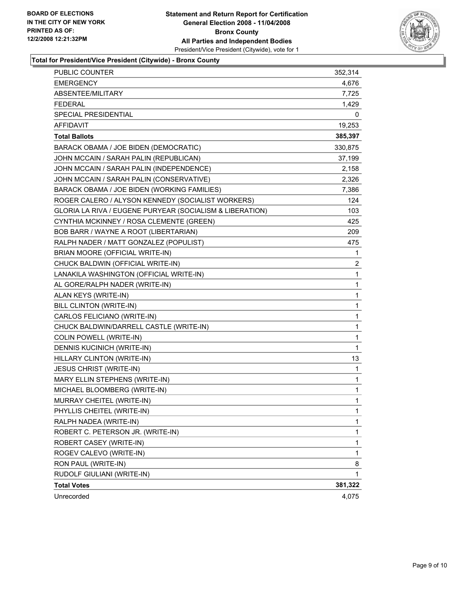

### **Total for President/Vice President (Citywide) - Bronx County**

| <b>PUBLIC COUNTER</b>                                    | 352,314 |
|----------------------------------------------------------|---------|
| <b>EMERGENCY</b>                                         | 4,676   |
| ABSENTEE/MILITARY                                        | 7,725   |
| <b>FEDERAL</b>                                           | 1,429   |
| SPECIAL PRESIDENTIAL                                     | 0       |
| <b>AFFIDAVIT</b>                                         | 19,253  |
| <b>Total Ballots</b>                                     | 385,397 |
| BARACK OBAMA / JOE BIDEN (DEMOCRATIC)                    | 330,875 |
| JOHN MCCAIN / SARAH PALIN (REPUBLICAN)                   | 37,199  |
| JOHN MCCAIN / SARAH PALIN (INDEPENDENCE)                 | 2,158   |
| JOHN MCCAIN / SARAH PALIN (CONSERVATIVE)                 | 2,326   |
| BARACK OBAMA / JOE BIDEN (WORKING FAMILIES)              | 7,386   |
| ROGER CALERO / ALYSON KENNEDY (SOCIALIST WORKERS)        | 124     |
| GLORIA LA RIVA / EUGENE PURYEAR (SOCIALISM & LIBERATION) | 103     |
| CYNTHIA MCKINNEY / ROSA CLEMENTE (GREEN)                 | 425     |
| BOB BARR / WAYNE A ROOT (LIBERTARIAN)                    | 209     |
| RALPH NADER / MATT GONZALEZ (POPULIST)                   | 475     |
| BRIAN MOORE (OFFICIAL WRITE-IN)                          | 1       |
| CHUCK BALDWIN (OFFICIAL WRITE-IN)                        | 2       |
| LANAKILA WASHINGTON (OFFICIAL WRITE-IN)                  | 1       |
| AL GORE/RALPH NADER (WRITE-IN)                           | 1       |
| ALAN KEYS (WRITE-IN)                                     | 1       |
| BILL CLINTON (WRITE-IN)                                  | 1       |
| CARLOS FELICIANO (WRITE-IN)                              | 1       |
| CHUCK BALDWIN/DARRELL CASTLE (WRITE-IN)                  | 1       |
| <b>COLIN POWELL (WRITE-IN)</b>                           | 1       |
| DENNIS KUCINICH (WRITE-IN)                               | 1       |
| HILLARY CLINTON (WRITE-IN)                               | 13      |
| <b>JESUS CHRIST (WRITE-IN)</b>                           | 1       |
| MARY ELLIN STEPHENS (WRITE-IN)                           | 1       |
| MICHAEL BLOOMBERG (WRITE-IN)                             | 1       |
| MURRAY CHEITEL (WRITE-IN)                                | 1       |
| PHYLLIS CHEITEL (WRITE-IN)                               | 1       |
| RALPH NADEA (WRITE-IN)                                   | 1       |
| ROBERT C. PETERSON JR. (WRITE-IN)                        | 1       |
| ROBERT CASEY (WRITE-IN)                                  | 1       |
| ROGEV CALEVO (WRITE-IN)                                  | 1       |
| RON PAUL (WRITE-IN)                                      | 8       |
| RUDOLF GIULIANI (WRITE-IN)                               | 1       |
| <b>Total Votes</b>                                       | 381,322 |
| Unrecorded                                               | 4,075   |